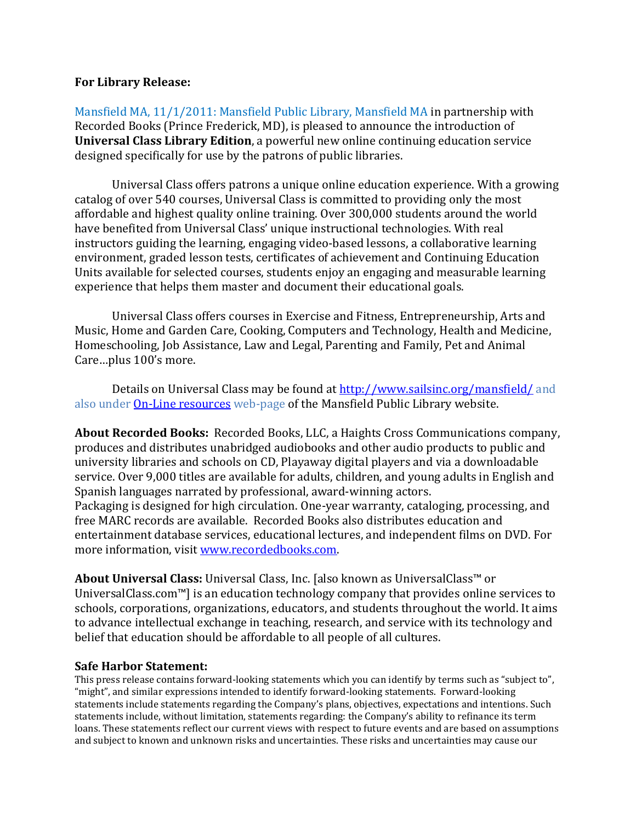## **For Library Release:**

Mansfield MA, 11/1/2011: Mansfield Public Library, Mansfield MA in partnership with Recorded Books (Prince Frederick, MD), is pleased to announce the introduction of **Universal Class Library Edition**, a powerful new online continuing education service designed specifically for use by the patrons of public libraries.

Universal Class offers patrons a unique online education experience. With a growing catalog of over 540 courses, Universal Class is committed to providing only the most affordable and highest quality online training. Over 300,000 students around the world have benefited from Universal Class' unique instructional technologies. With real instructors guiding the learning, engaging video-based lessons, a collaborative learning environment, graded lesson tests, certificates of achievement and Continuing Education Units available for selected courses, students enjoy an engaging and measurable learning experience that helps them master and document their educational goals.

Universal Class offers courses in Exercise and Fitness, Entrepreneurship, Arts and Music, Home and Garden Care, Cooking, Computers and Technology, Health and Medicine, Homeschooling, Job Assistance, Law and Legal, Parenting and Family, Pet and Animal Care…plus 100's more.

Details on Universal Class may be found at http://www.sailsinc.org/mansfield/ and also under **On-Line resources** web-page of the Mansfield Public Library website.

**About Recorded Books:** Recorded Books, LLC, a Haights Cross Communications company, produces and distributes unabridged audiobooks and other audio products to public and university libraries and schools on CD, Playaway digital players and via a downloadable service. Over 9,000 titles are available for adults, children, and young adults in English and Spanish languages narrated by professional, award-winning actors. Packaging is designed for high circulation. One-year warranty, cataloging, processing, and free MARC records are available. Recorded Books also distributes education and entertainment database services, educational lectures, and independent films on DVD. For more information, visit www.recordedbooks.com.

**About Universal Class:** Universal Class, Inc. [also known as UniversalClass™ or UniversalClass.com™] is an education technology company that provides online services to schools, corporations, organizations, educators, and students throughout the world. It aims to advance intellectual exchange in teaching, research, and service with its technology and belief that education should be affordable to all people of all cultures.

## **Safe Harbor Statement:**

This press release contains forward-looking statements which you can identify by terms such as "subject to", "might", and similar expressions intended to identify forward-looking statements. Forward-looking statements include statements regarding the Company's plans, objectives, expectations and intentions. Such statements include, without limitation, statements regarding: the Company's ability to refinance its term loans. These statements reflect our current views with respect to future events and are based on assumptions and subject to known and unknown risks and uncertainties. These risks and uncertainties may cause our